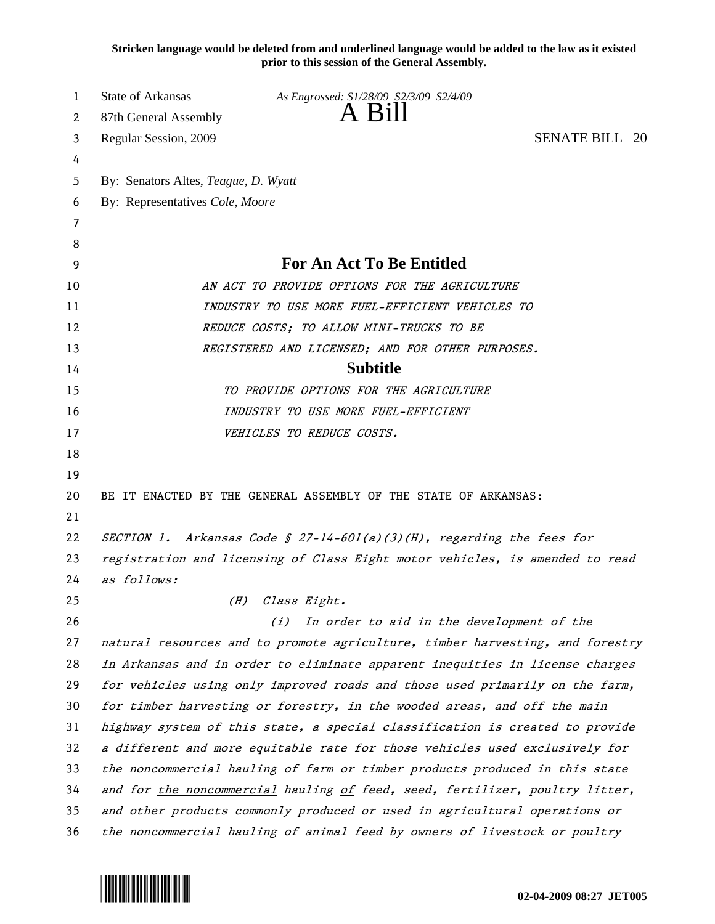**Stricken language would be deleted from and underlined language would be added to the law as it existed prior to this session of the General Assembly.**

| 1  | <b>State of Arkansas</b>                                                     | As Engrossed: S1/28/09 S2/3/09 S2/4/09                                        |                       |
|----|------------------------------------------------------------------------------|-------------------------------------------------------------------------------|-----------------------|
| 2  | 87th General Assembly                                                        | $A$ Bill                                                                      |                       |
| 3  | Regular Session, 2009                                                        |                                                                               | <b>SENATE BILL 20</b> |
| 4  |                                                                              |                                                                               |                       |
| 5  | By: Senators Altes, Teague, D. Wyatt                                         |                                                                               |                       |
| 6  | By: Representatives Cole, Moore                                              |                                                                               |                       |
| 7  |                                                                              |                                                                               |                       |
| 8  |                                                                              |                                                                               |                       |
| 9  | For An Act To Be Entitled                                                    |                                                                               |                       |
| 10 | AN ACT TO PROVIDE OPTIONS FOR THE AGRICULTURE                                |                                                                               |                       |
| 11 | INDUSTRY TO USE MORE FUEL-EFFICIENT VEHICLES TO                              |                                                                               |                       |
| 12 |                                                                              | REDUCE COSTS; TO ALLOW MINI-TRUCKS TO BE                                      |                       |
| 13 |                                                                              | REGISTERED AND LICENSED; AND FOR OTHER PURPOSES.                              |                       |
| 14 |                                                                              | <b>Subtitle</b>                                                               |                       |
| 15 |                                                                              | TO PROVIDE OPTIONS FOR THE AGRICULTURE                                        |                       |
| 16 |                                                                              | INDUSTRY TO USE MORE FUEL-EFFICIENT                                           |                       |
| 17 |                                                                              | VEHICLES TO REDUCE COSTS.                                                     |                       |
| 18 |                                                                              |                                                                               |                       |
| 19 |                                                                              |                                                                               |                       |
| 20 |                                                                              | BE IT ENACTED BY THE GENERAL ASSEMBLY OF THE STATE OF ARKANSAS:               |                       |
| 21 |                                                                              |                                                                               |                       |
| 22 |                                                                              | SECTION 1. Arkansas Code § 27-14-601(a)(3)(H), regarding the fees for         |                       |
| 23 | registration and licensing of Class Eight motor vehicles, is amended to read |                                                                               |                       |
| 24 | as follows:                                                                  |                                                                               |                       |
| 25 |                                                                              | (H) Class Eight.                                                              |                       |
| 26 |                                                                              | In order to aid in the development of the<br>(i)                              |                       |
| 27 |                                                                              | natural resources and to promote agriculture, timber harvesting, and forestry |                       |
| 28 |                                                                              | in Arkansas and in order to eliminate apparent inequities in license charges  |                       |
| 29 |                                                                              | for vehicles using only improved roads and those used primarily on the farm,  |                       |
| 30 | for timber harvesting or forestry, in the wooded areas, and off the main     |                                                                               |                       |
| 31 | highway system of this state, a special classification is created to provide |                                                                               |                       |
| 32 | a different and more equitable rate for those vehicles used exclusively for  |                                                                               |                       |
| 33 | the noncommercial hauling of farm or timber products produced in this state  |                                                                               |                       |
| 34 | and for the noncommercial hauling of feed, seed, fertilizer, poultry litter, |                                                                               |                       |
| 35 | and other products commonly produced or used in agricultural operations or   |                                                                               |                       |
| 36 | the noncommercial hauling of animal feed by owners of livestock or poultry   |                                                                               |                       |

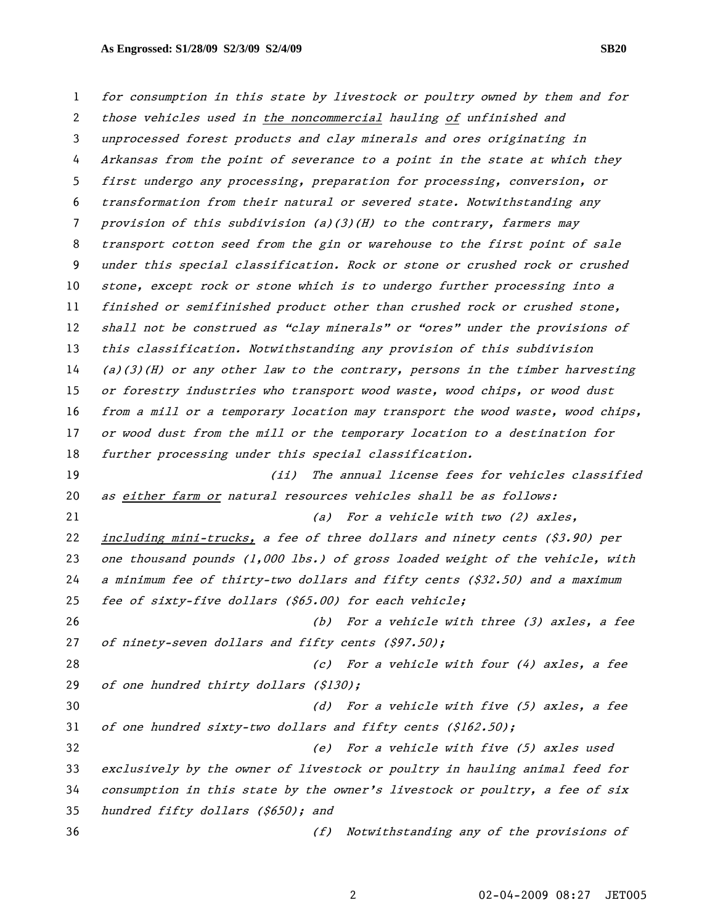for consumption in this state by livestock or poultry owned by them and for those vehicles used in the noncommercial hauling of unfinished and unprocessed forest products and clay minerals and ores originating in Arkansas from the point of severance to a point in the state at which they first undergo any processing, preparation for processing, conversion, or transformation from their natural or severed state. Notwithstanding any provision of this subdivision (a)(3)(H) to the contrary, farmers may transport cotton seed from the gin or warehouse to the first point of sale under this special classification. Rock or stone or crushed rock or crushed stone, except rock or stone which is to undergo further processing into a finished or semifinished product other than crushed rock or crushed stone, 12 shall not be construed as "clay minerals" or "ores" under the provisions of this classification. Notwithstanding any provision of this subdivision (a)(3)(H) or any other law to the contrary, persons in the timber harvesting or forestry industries who transport wood waste, wood chips, or wood dust from a mill or a temporary location may transport the wood waste, wood chips, or wood dust from the mill or the temporary location to a destination for further processing under this special classification. (ii) The annual license fees for vehicles classified as either farm or natural resources vehicles shall be as follows: 21 (a) For a vehicle with two (2) axles, including mini-trucks, a fee of three dollars and ninety cents (\$3.90) per 23 one thousand pounds (1,000 lbs.) of gross loaded weight of the vehicle, with a minimum fee of thirty-two dollars and fifty cents (\$32.50) and a maximum fee of sixty-five dollars (\$65.00) for each vehicle; (b) For a vehicle with three (3) axles, a fee 27 of ninety-seven dollars and fifty cents (\$97.50); (c) For a vehicle with four (4) axles, a fee 29 of one hundred thirty dollars (\$130); (d) For a vehicle with five (5) axles, a fee 31 of one hundred sixty-two dollars and fifty cents  $(S162.50);$ (e) For a vehicle with five (5) axles used exclusively by the owner of livestock or poultry in hauling animal feed for consumption in this state by the owner's livestock or poultry, a fee of six hundred fifty dollars (\$650); and (f) Notwithstanding any of the provisions of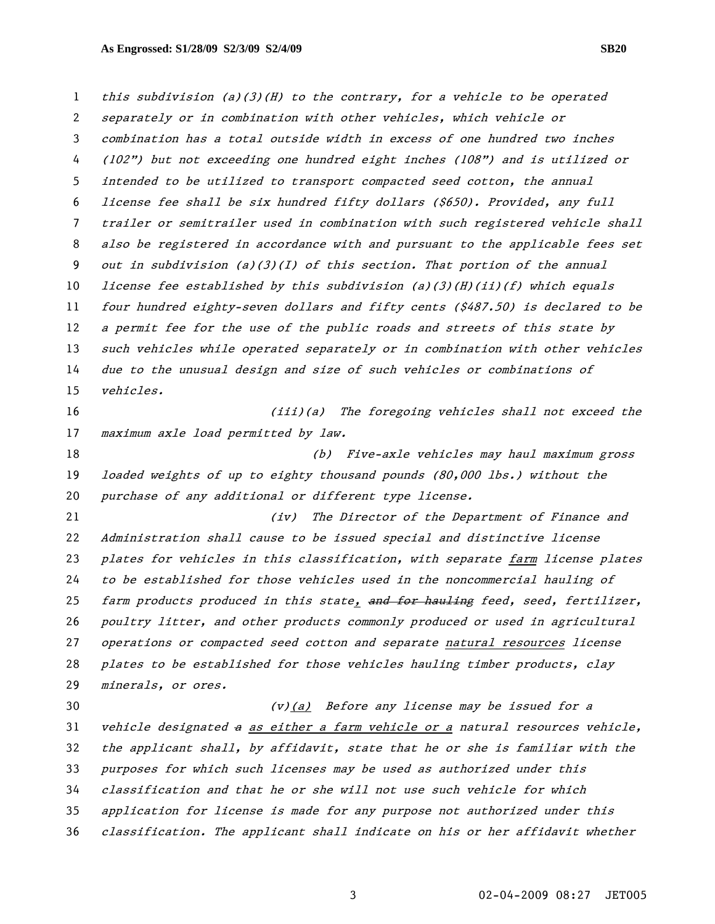this subdivision (a)(3)(H) to the contrary, for a vehicle to be operated separately or in combination with other vehicles, which vehicle or combination has a total outside width in excess of one hundred two inches (102") but not exceeding one hundred eight inches (108") and is utilized or intended to be utilized to transport compacted seed cotton, the annual license fee shall be six hundred fifty dollars (\$650). Provided, any full trailer or semitrailer used in combination with such registered vehicle shall also be registered in accordance with and pursuant to the applicable fees set out in subdivision (a)(3)(I) of this section. That portion of the annual *license fee established by this subdivision (a)(3)(H)(ii)(f) which equals* four hundred eighty-seven dollars and fifty cents (\$487.50) is declared to be 12 a permit fee for the use of the public roads and streets of this state by 13 such vehicles while operated separately or in combination with other vehicles due to the unusual design and size of such vehicles or combinations of vehicles. (iii)(a) The foregoing vehicles shall not exceed the 17 maximum axle load permitted by law. (b) Five-axle vehicles may haul maximum gross loaded weights of up to eighty thousand pounds (80,000 lbs.) without the purchase of any additional or different type license. (iv) The Director of the Department of Finance and Administration shall cause to be issued special and distinctive license 23 plates for vehicles in this classification, with separate farm license plates to be established for those vehicles used in the noncommercial hauling of 25 farm products produced in this state, and for hauling feed, seed, fertilizer, poultry litter, and other products commonly produced or used in agricultural operations or compacted seed cotton and separate natural resources license plates to be established for those vehicles hauling timber products, clay minerals, or ores. (v)(a) Before any license may be issued for a vehicle designated a as either a farm vehicle or a natural resources vehicle,

the applicant shall, by affidavit, state that he or she is familiar with the purposes for which such licenses may be used as authorized under this classification and that he or she will not use such vehicle for which application for license is made for any purpose not authorized under this

classification. The applicant shall indicate on his or her affidavit whether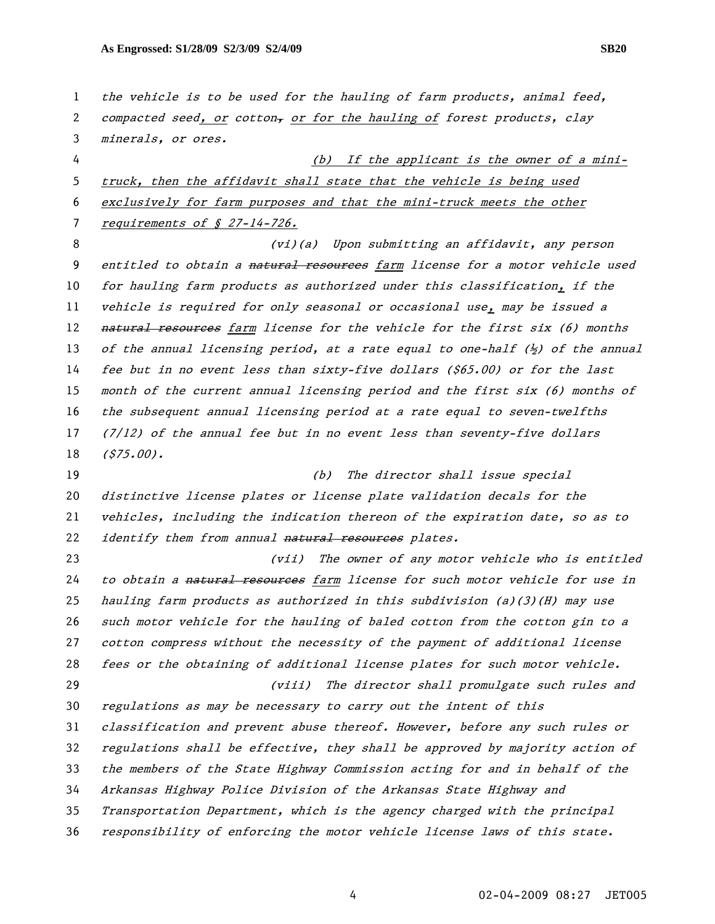1 the vehicle is to be used for the hauling of farm products, animal feed, 2 compacted seed, or cotton, or for the hauling of forest products, clay minerals, or ores. (b) If the applicant is the owner of a mini-truck, then the affidavit shall state that the vehicle is being used exclusively for farm purposes and that the mini-truck meets the other 7 requirements of § 27-14-726. (vi)(a) Upon submitting an affidavit, any person 9 entitled to obtain a natural resources farm license for a motor vehicle used for hauling farm products as authorized under this classification, if the vehicle is required for only seasonal or occasional use, may be issued a 12 <del>natural resources</del> farm license for the vehicle for the first six (6) months 13 of the annual licensing period, at a rate equal to one-half  $\langle \frac{1}{2} \rangle$  of the annual fee but in no event less than sixty-five dollars (\$65.00) or for the last month of the current annual licensing period and the first six (6) months of the subsequent annual licensing period at a rate equal to seven-twelfths (7/12) of the annual fee but in no event less than seventy-five dollars (\$75.00). 19 (b) The director shall issue special distinctive license plates or license plate validation decals for the vehicles, including the indication thereon of the expiration date, so as to 22 identify them from annual natural resources plates. (vii) The owner of any motor vehicle who is entitled 24 to obtain a natural resources farm license for such motor vehicle for use in hauling farm products as authorized in this subdivision (a)(3)(H) may use such motor vehicle for the hauling of baled cotton from the cotton gin to a cotton compress without the necessity of the payment of additional license fees or the obtaining of additional license plates for such motor vehicle. (viii) The director shall promulgate such rules and regulations as may be necessary to carry out the intent of this classification and prevent abuse thereof. However, before any such rules or regulations shall be effective, they shall be approved by majority action of the members of the State Highway Commission acting for and in behalf of the Arkansas Highway Police Division of the Arkansas State Highway and Transportation Department, which is the agency charged with the principal responsibility of enforcing the motor vehicle license laws of this state.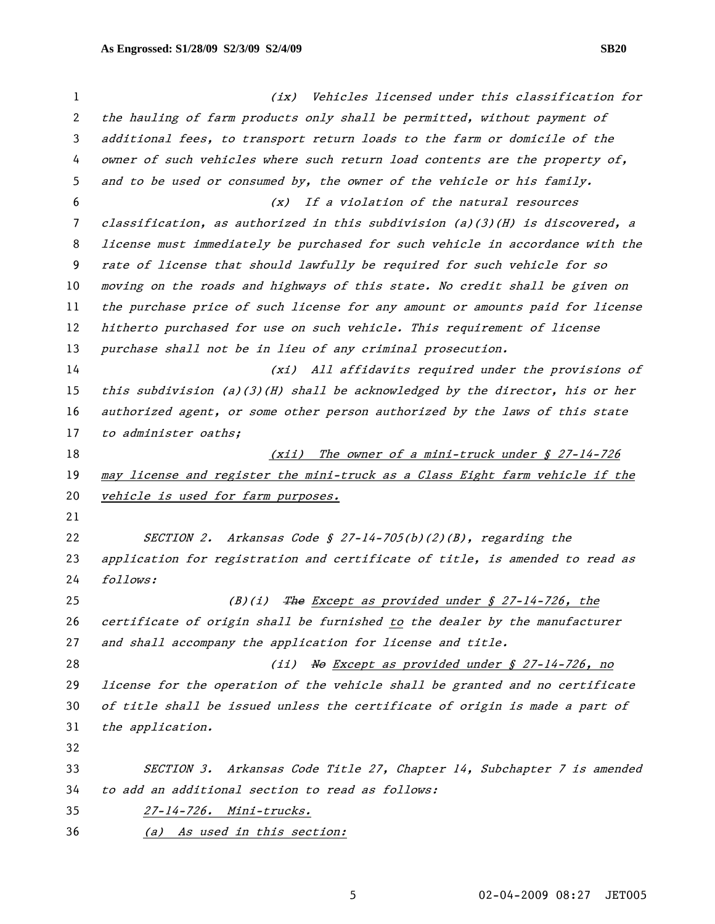(ix) Vehicles licensed under this classification for the hauling of farm products only shall be permitted, without payment of additional fees, to transport return loads to the farm or domicile of the owner of such vehicles where such return load contents are the property of, and to be used or consumed by, the owner of the vehicle or his family. (x) If a violation of the natural resources classification, as authorized in this subdivision (a)(3)(H) is discovered, a license must immediately be purchased for such vehicle in accordance with the rate of license that should lawfully be required for such vehicle for so moving on the roads and highways of this state. No credit shall be given on the purchase price of such license for any amount or amounts paid for license 12 hitherto purchased for use on such vehicle. This requirement of license 13 purchase shall not be in lieu of any criminal prosecution. (xi) All affidavits required under the provisions of this subdivision (a)(3)(H) shall be acknowledged by the director, his or her authorized agent, or some other person authorized by the laws of this state 17 to administer oaths; 18 (xii) The owner of a mini-truck under § 27-14-726 may license and register the mini-truck as a Class Eight farm vehicle if the 20 vehicle is used for farm purposes. SECTION 2. Arkansas Code § 27-14-705(b)(2)(B), regarding the application for registration and certificate of title, is amended to read as follows: 25 (B)(i) The Except as provided under  $\oint$  27-14-726, the certificate of origin shall be furnished to the dealer by the manufacturer 27 and shall accompany the application for license and title. (ii) No Except as provided under § 27-14-726, no license for the operation of the vehicle shall be granted and no certificate of title shall be issued unless the certificate of origin is made a part of the application. SECTION 3. Arkansas Code Title 27, Chapter 14, Subchapter 7 is amended to add an additional section to read as follows: 27-14-726. Mini-trucks. (a) As used in this section: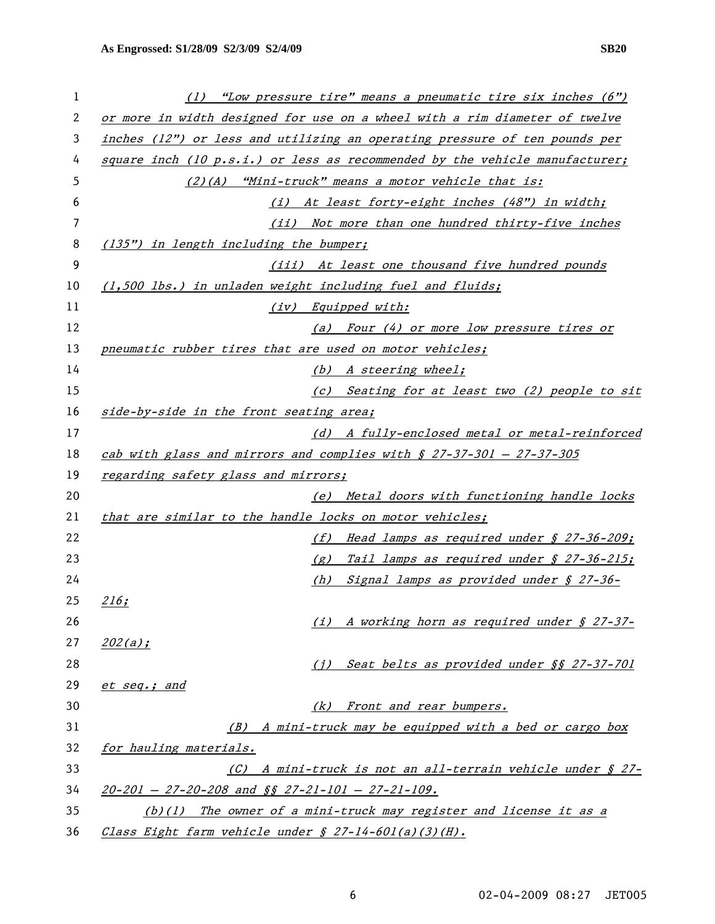| 1  | (1) "Low pressure tire" means a pneumatic tire six inches (6")              |  |  |
|----|-----------------------------------------------------------------------------|--|--|
| 2  | or more in width designed for use on a wheel with a rim diameter of twelve  |  |  |
| 3  | inches (12") or less and utilizing an operating pressure of ten pounds per  |  |  |
| 4  | square inch (10 p.s.i.) or less as recommended by the vehicle manufacturer; |  |  |
| 5  | (2)(A) "Mini-truck" means a motor vehicle that is:                          |  |  |
| 6  | (i) At least forty-eight inches (48") in width;                             |  |  |
| 7  | (ii) Not more than one hundred thirty-five inches                           |  |  |
| 8  | (135") in length including the bumper;                                      |  |  |
| 9  | (iii) At least one thousand five hundred pounds                             |  |  |
| 10 | (1,500 lbs.) in unladen weight including fuel and fluids;                   |  |  |
| 11 | (iv) Equipped with:                                                         |  |  |
| 12 | (a) Four (4) or more low pressure tires or                                  |  |  |
| 13 | pneumatic rubber tires that are used on motor vehicles;                     |  |  |
| 14 | (b) A steering wheel;                                                       |  |  |
| 15 | (c) Seating for at least two (2) people to sit                              |  |  |
| 16 | side-by-side in the front seating area;                                     |  |  |
| 17 | (d) A fully-enclosed metal or metal-reinforced                              |  |  |
| 18 | cab with glass and mirrors and complies with $\int$ 27-37-301 - 27-37-305   |  |  |
| 19 | regarding safety glass and mirrors;                                         |  |  |
| 20 | (e) Metal doors with functioning handle locks                               |  |  |
| 21 | that are similar to the handle locks on motor vehicles;                     |  |  |
| 22 | (f) Head lamps as required under § 27-36-209;                               |  |  |
| 23 | $(g)$ Tail lamps as required under § 27-36-215;                             |  |  |
| 24 | (h)<br>Signal lamps as provided under § 27-36-                              |  |  |
| 25 | 216;                                                                        |  |  |
| 26 | A working horn as required under § 27-37-<br>(i)                            |  |  |
| 27 | $202(a)$ ;                                                                  |  |  |
| 28 | Seat belts as provided under §§ 27-37-701<br>(i)                            |  |  |
| 29 | et seq.; and                                                                |  |  |
| 30 | Front and rear bumpers.<br>(k)                                              |  |  |
| 31 | (B) A mini-truck may be equipped with a bed or cargo box                    |  |  |
| 32 | for hauling materials.                                                      |  |  |
| 33 | A mini-truck is not an all-terrain vehicle under § 27-<br>(C)               |  |  |
| 34 | $20-201 - 27-20-208$ and $\sqrt{5}$ $27-21-101 - 27-21-109$ .               |  |  |
| 35 | The owner of a mini-truck may register and license it as a<br>(b)(1)        |  |  |
| 36 | Class Eight farm vehicle under § 27-14-601(a)(3)(H).                        |  |  |